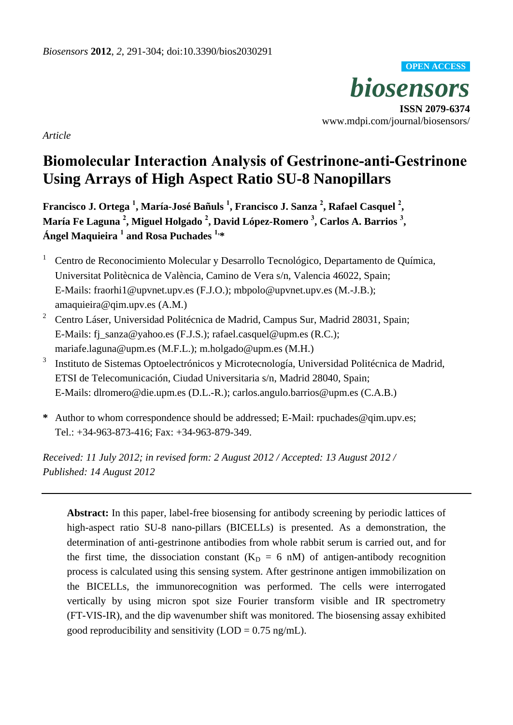*biosensors* **ISSN 2079-6374 OPEN ACCESS**

www.mdpi.com/journal/biosensors/

*Article*

# **Biomolecular Interaction Analysis of Gestrinone-anti-Gestrinone Using Arrays of High Aspect Ratio SU-8 Nanopillars**

**Francisco J. Ortega <sup>1</sup> , María-José Bañuls <sup>1</sup> , Francisco J. Sanza <sup>2</sup> , Rafael Casquel <sup>2</sup> , María Fe Laguna <sup>2</sup> , Miguel Holgado <sup>2</sup> , David López-Romero <sup>3</sup> , Carlos A. Barrios <sup>3</sup> , Ángel Maquieira <sup>1</sup> and Rosa Puchades 1,\***

- $1$  Centro de Reconocimiento Molecular y Desarrollo Tecnológico, Departamento de Química, Universitat Politècnica de València, Camino de Vera s/n, Valencia 46022, Spain; E-Mails: fraorhi1@upvnet.upv.es (F.J.O.); [mbpolo@upvnet.upv.e](mailto:mbpolo@upvnet.upv.)s (M.-J.B.); [amaquieira@qim.upv.es](mailto:amaquieira@qim.upv.es) (A.M.)
- <sup>2</sup> Centro L áser, Universidad Polit écnica de Madrid, Campus Sur, Madrid 28031, Spain; E-Mails: fj\_sanza@yahoo.es (F.J.S.); rafael.casquel@upm.es (R.C.); mariafe.laguna@upm.es (M.F.L.); m.holgado@upm.es (M.H.)
- 3 Instituto de Sistemas Optoelectrónicos y Microtecnología, Universidad Politécnica de Madrid, ETSI de Telecomunicación, Ciudad Universitaria s/n, Madrid 28040, Spain; E-Mails: dlromero@die.upm.es (D.L.-R.); carlos.angulo.barrios@upm.es (C.A.B.)
- **\*** Author to whom correspondence should be addressed; E-Mail: [rpuchades@qim.upv.es;](mailto:rpuchades@qim.upv.es) Tel.: +34-963-873-416; Fax: +34-963-879-349.

*Received: 11 July 2012; in revised form: 2 August 2012 / Accepted: 13 August 2012 / Published: 14 August 2012* 

**Abstract:** In this paper, label-free biosensing for antibody screening by periodic lattices of high-aspect ratio SU-8 nano-pillars (BICELLs) is presented. As a demonstration, the determination of anti-gestrinone antibodies from whole rabbit serum is carried out, and for the first time, the dissociation constant  $(K_D = 6 \text{ nM})$  of antigen-antibody recognition process is calculated using this sensing system. After gestrinone antigen immobilization on the BICELLs, the immunorecognition was performed. The cells were interrogated vertically by using micron spot size Fourier transform visible and IR spectrometry (FT-VIS-IR), and the dip wavenumber shift was monitored. The biosensing assay exhibited good reproducibility and sensitivity  $(LOD = 0.75$  ng/mL).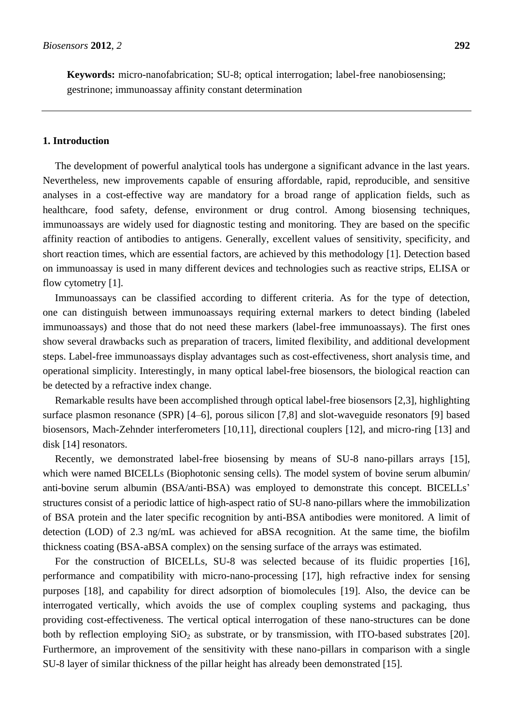**Keywords:** micro-nanofabrication; SU-8; optical interrogation; label-free nanobiosensing; gestrinone; immunoassay affinity constant determination

# **1. Introduction**

The development of powerful analytical tools has undergone a significant advance in the last years. Nevertheless, new improvements capable of ensuring affordable, rapid, reproducible, and sensitive analyses in a cost-effective way are mandatory for a broad range of application fields, such as healthcare, food safety, defense, environment or drug control. Among biosensing techniques, immunoassays are widely used for diagnostic testing and monitoring. They are based on the specific affinity reaction of antibodies to antigens. Generally, excellent values of sensitivity, specificity, and short reaction times, which are essential factors, are achieved by this methodology [1]. Detection based on immunoassay is used in many different devices and technologies such as reactive strips, ELISA or flow cytometry [1].

Immunoassays can be classified according to different criteria. As for the type of detection, one can distinguish between immunoassays requiring external markers to detect binding (labeled immunoassays) and those that do not need these markers (label-free immunoassays). The first ones show several drawbacks such as preparation of tracers, limited flexibility, and additional development steps. Label-free immunoassays display advantages such as cost-effectiveness, short analysis time, and operational simplicity. Interestingly, in many optical label-free biosensors, the biological reaction can be detected by a refractive index change.

Remarkable results have been accomplished through optical label-free biosensors [2,3], highlighting surface plasmon resonance (SPR) [4–6], porous silicon [7,8] and slot-waveguide resonators [9] based biosensors, Mach-Zehnder interferometers [10,11], directional couplers [12], and micro-ring [13] and disk [14] resonators.

Recently, we demonstrated label-free biosensing by means of SU-8 nano-pillars arrays [15], which were named BICELLs (Biophotonic sensing cells). The model system of bovine serum albumin/ anti-bovine serum albumin (BSA/anti-BSA) was employed to demonstrate this concept. BICELLs' structures consist of a periodic lattice of high-aspect ratio of SU-8 nano-pillars where the immobilization of BSA protein and the later specific recognition by anti-BSA antibodies were monitored. A limit of detection (LOD) of 2.3 ng/mL was achieved for aBSA recognition. At the same time, the biofilm thickness coating (BSA-aBSA complex) on the sensing surface of the arrays was estimated.

For the construction of BICELLs, SU-8 was selected because of its fluidic properties [16], performance and compatibility with micro-nano-processing [17], high refractive index for sensing purposes [18], and capability for direct adsorption of biomolecules [19]. Also, the device can be interrogated vertically, which avoids the use of complex coupling systems and packaging, thus providing cost-effectiveness. The vertical optical interrogation of these nano-structures can be done both by reflection employing  $SiO<sub>2</sub>$  as substrate, or by transmission, with ITO-based substrates [20]. Furthermore, an improvement of the sensitivity with these nano-pillars in comparison with a single SU-8 layer of similar thickness of the pillar height has already been demonstrated [15].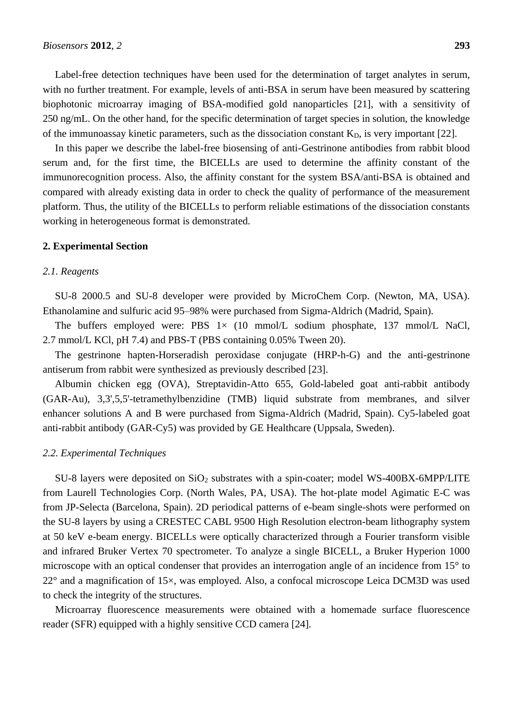In this paper we describe the label-free biosensing of anti-Gestrinone antibodies from rabbit blood serum and, for the first time, the BICELLs are used to determine the affinity constant of the immunorecognition process. Also, the affinity constant for the system BSA/anti-BSA is obtained and compared with already existing data in order to check the quality of performance of the measurement platform. Thus, the utility of the BICELLs to perform reliable estimations of the dissociation constants working in heterogeneous format is demonstrated.

#### **2. Experimental Section**

## *2.1. Reagents*

SU-8 2000.5 and SU-8 developer were provided by MicroChem Corp. (Newton, MA, USA). Ethanolamine and sulfuric acid 95–98% were purchased from Sigma-Aldrich (Madrid, Spain).

The buffers employed were: PBS  $1 \times (10 \text{ mmol/L}$  sodium phosphate, 137 mmol/L NaCl, 2.7 mmol/L KCl, pH 7.4) and PBS-T (PBS containing 0.05% Tween 20).

The gestrinone hapten-Horseradish peroxidase conjugate (HRP-h-G) and the anti-gestrinone antiserum from rabbit were synthesized as previously described [23].

Albumin chicken egg (OVA), Streptavidin-Atto 655, Gold-labeled goat anti-rabbit antibody (GAR-Au), 3,3',5,5'-tetramethylbenzidine (TMB) liquid substrate from membranes, and silver enhancer solutions A and B were purchased from Sigma-Aldrich (Madrid, Spain). Cy5-labeled goat anti-rabbit antibody (GAR-Cy5) was provided by GE Healthcare (Uppsala, Sweden).

## *2.2. Experimental Techniques*

SU-8 layers were deposited on  $SiO<sub>2</sub>$  substrates with a spin-coater; model WS-400BX-6MPP/LITE from Laurell Technologies Corp. (North Wales, PA, USA). The hot-plate model Agimatic E-C was from JP-Selecta (Barcelona, Spain). 2D periodical patterns of e-beam single-shots were performed on the SU-8 layers by using a CRESTEC CABL 9500 High Resolution electron-beam lithography system at 50 keV e-beam energy. BICELLs were optically characterized through a Fourier transform visible and infrared Bruker Vertex 70 spectrometer. To analyze a single BICELL, a Bruker Hyperion 1000 microscope with an optical condenser that provides an interrogation angle of an incidence from 15°to  $22^{\circ}$  and a magnification of  $15\times$ , was employed. Also, a confocal microscope Leica DCM3D was used to check the integrity of the structures.

Microarray fluorescence measurements were obtained with a homemade surface fluorescence reader (SFR) equipped with a highly sensitive CCD camera [24].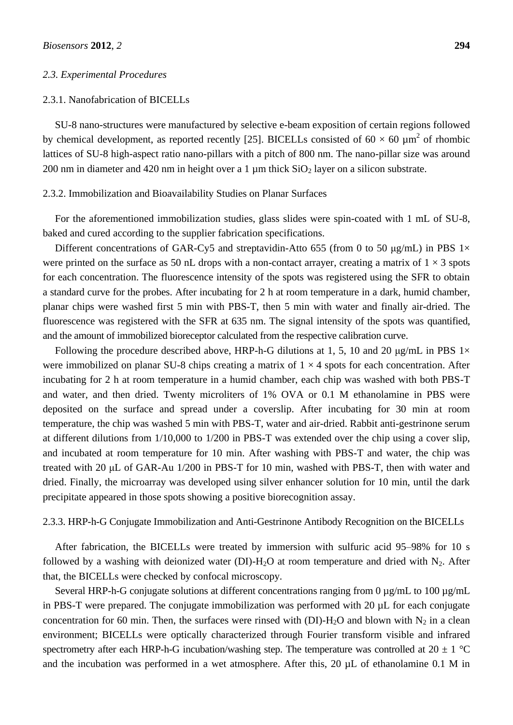#### *2.3. Experimental Procedures*

# 2.3.1. Nanofabrication of BICELLs

SU-8 nano-structures were manufactured by selective e-beam exposition of certain regions followed by chemical development, as reported recently [25]. BICELLs consisted of 60  $\times$  60  $\mu$ m<sup>2</sup> of rhombic lattices of SU-8 high-aspect ratio nano-pillars with a pitch of 800 nm. The nano-pillar size was around 200 nm in diameter and 420 nm in height over a 1  $\mu$ m thick SiO<sub>2</sub> layer on a silicon substrate.

#### 2.3.2. Immobilization and Bioavailability Studies on Planar Surfaces

For the aforementioned immobilization studies, glass slides were spin-coated with 1 mL of SU-8, baked and cured according to the supplier fabrication specifications.

Different concentrations of GAR-Cy5 and streptavidin-Atto 655 (from 0 to 50  $\mu$ g/mL) in PBS 1 $\times$ were printed on the surface as 50 nL drops with a non-contact arrayer, creating a matrix of  $1 \times 3$  spots for each concentration. The fluorescence intensity of the spots was registered using the SFR to obtain a standard curve for the probes. After incubating for 2 h at room temperature in a dark, humid chamber, planar chips were washed first 5 min with PBS-T, then 5 min with water and finally air-dried. The fluorescence was registered with the SFR at 635 nm. The signal intensity of the spots was quantified, and the amount of immobilized bioreceptor calculated from the respective calibration curve.

Following the procedure described above, HRP-h-G dilutions at 1, 5, 10 and 20  $\mu$ g/mL in PBS 1 $\times$ were immobilized on planar SU-8 chips creating a matrix of  $1 \times 4$  spots for each concentration. After incubating for 2 h at room temperature in a humid chamber, each chip was washed with both PBS-T and water, and then dried. Twenty microliters of 1% OVA or 0.1 M ethanolamine in PBS were deposited on the surface and spread under a coverslip. After incubating for 30 min at room temperature, the chip was washed 5 min with PBS-T, water and air-dried. Rabbit anti-gestrinone serum at different dilutions from 1/10,000 to 1/200 in PBS-T was extended over the chip using a cover slip, and incubated at room temperature for 10 min. After washing with PBS-T and water, the chip was treated with 20 μL of GAR-Au 1/200 in PBS-T for 10 min, washed with PBS-T, then with water and dried. Finally, the microarray was developed using silver enhancer solution for 10 min, until the dark precipitate appeared in those spots showing a positive biorecognition assay.

## 2.3.3. HRP-h-G Conjugate Immobilization and Anti-Gestrinone Antibody Recognition on the BICELLs

After fabrication, the BICELLs were treated by immersion with sulfuric acid 95–98% for 10 s followed by a washing with deionized water (DI)-H<sub>2</sub>O at room temperature and dried with N<sub>2</sub>. After that, the BICELLs were checked by confocal microscopy.

Several HRP-h-G conjugate solutions at different concentrations ranging from 0  $\mu$ g/mL to 100  $\mu$ g/mL in PBS-T were prepared. The conjugate immobilization was performed with 20 µL for each conjugate concentration for 60 min. Then, the surfaces were rinsed with (DI)-H<sub>2</sub>O and blown with N<sub>2</sub> in a clean environment; BICELLs were optically characterized through Fourier transform visible and infrared spectrometry after each HRP-h-G incubation/washing step. The temperature was controlled at 20  $\pm$  1 °C and the incubation was performed in a wet atmosphere. After this, 20  $\mu$ L of ethanolamine 0.1 M in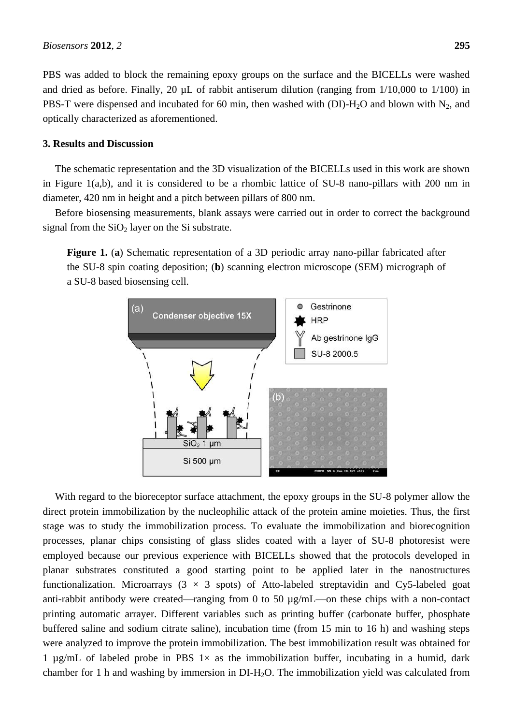PBS was added to block the remaining epoxy groups on the surface and the BICELLs were washed and dried as before. Finally, 20  $\mu$ L of rabbit antiserum dilution (ranging from  $1/10,000$  to  $1/100$ ) in PBS-T were dispensed and incubated for 60 min, then washed with (DI)-H<sub>2</sub>O and blown with N<sub>2</sub>, and optically characterized as aforementioned.

### **3. Results and Discussion**

The schematic representation and the 3D visualization of the BICELLs used in this work are shown in Figure 1(a,b), and it is considered to be a rhombic lattice of SU-8 nano-pillars with 200 nm in diameter, 420 nm in height and a pitch between pillars of 800 nm.

Before biosensing measurements, blank assays were carried out in order to correct the background signal from the  $SiO<sub>2</sub>$  layer on the Si substrate.

**Figure 1.** (**a**) Schematic representation of a 3D periodic array nano-pillar fabricated after the SU-8 spin coating deposition; (**b**) scanning electron microscope (SEM) micrograph of a SU-8 based biosensing cell.



With regard to the bioreceptor surface attachment, the epoxy groups in the SU-8 polymer allow the direct protein immobilization by the nucleophilic attack of the protein amine moieties. Thus, the first stage was to study the immobilization process. To evaluate the immobilization and biorecognition processes, planar chips consisting of glass slides coated with a layer of SU-8 photoresist were employed because our previous experience with BICELLs showed that the protocols developed in planar substrates constituted a good starting point to be applied later in the nanostructures functionalization. Microarrays  $(3 \times 3 \text{ spots})$  of Atto-labeled streptavidin and Cy5-labeled goat anti-rabbit antibody were created—ranging from 0 to 50 µg/mL—on these chips with a non-contact printing automatic arrayer. Different variables such as printing buffer (carbonate buffer, phosphate buffered saline and sodium citrate saline), incubation time (from 15 min to 16 h) and washing steps were analyzed to improve the protein immobilization. The best immobilization result was obtained for 1 µg/mL of labeled probe in PBS  $1 \times$  as the immobilization buffer, incubating in a humid, dark chamber for 1 h and washing by immersion in DI-H2O. The immobilization yield was calculated from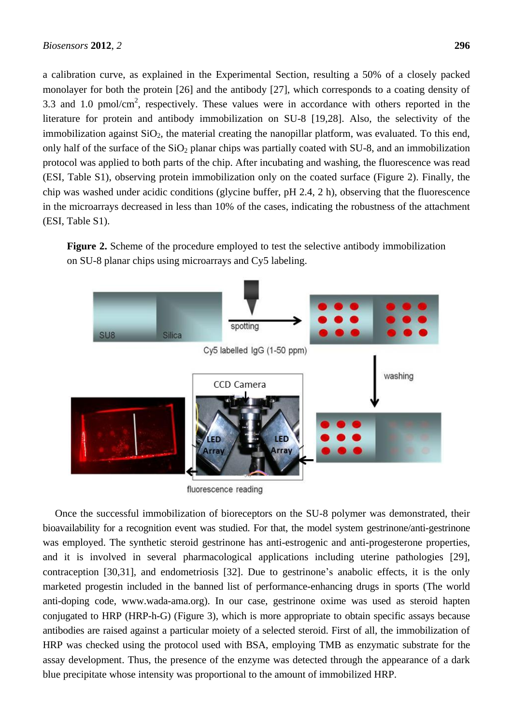a calibration curve, as explained in the Experimental Section, resulting a 50% of a closely packed monolayer for both the protein [26] and the antibody [27], which corresponds to a coating density of 3.3 and 1.0 pmol/cm<sup>2</sup>, respectively. These values were in accordance with others reported in the literature for protein and antibody immobilization on SU-8 [19,28]. Also, the selectivity of the immobilization against  $SiO<sub>2</sub>$ , the material creating the nanopillar platform, was evaluated. To this end, only half of the surface of the  $SiO<sub>2</sub>$  planar chips was partially coated with SU-8, and an immobilization protocol was applied to both parts of the chip. After incubating and washing, the fluorescence was read (ESI, Table S1), observing protein immobilization only on the coated surface (Figure 2). Finally, the chip was washed under acidic conditions (glycine buffer, pH 2.4, 2 h), observing that the fluorescence in the microarrays decreased in less than 10% of the cases, indicating the robustness of the attachment (ESI, Table S1).

**Figure 2.** Scheme of the procedure employed to test the selective antibody immobilization on SU-8 planar chips using microarrays and Cy5 labeling.



fluorescence reading

Once the successful immobilization of bioreceptors on the SU-8 polymer was demonstrated, their bioavailability for a recognition event was studied. For that, the model system gestrinone/anti-gestrinone was employed. The synthetic steroid gestrinone has anti-estrogenic and anti-progesterone properties, and it is involved in several pharmacological applications including uterine pathologies [29], contraception [30,31], and endometriosis [32]. Due to gestrinone's anabolic effects, it is the only marketed progestin included in the banned list of performance-enhancing drugs in sports (The world anti-doping code, www.wada-ama.org). In our case, gestrinone oxime was used as steroid hapten conjugated to HRP (HRP-h-G) (Figure 3), which is more appropriate to obtain specific assays because antibodies are raised against a particular moiety of a selected steroid. First of all, the immobilization of HRP was checked using the protocol used with BSA, employing TMB as enzymatic substrate for the assay development. Thus, the presence of the enzyme was detected through the appearance of a dark blue precipitate whose intensity was proportional to the amount of immobilized HRP.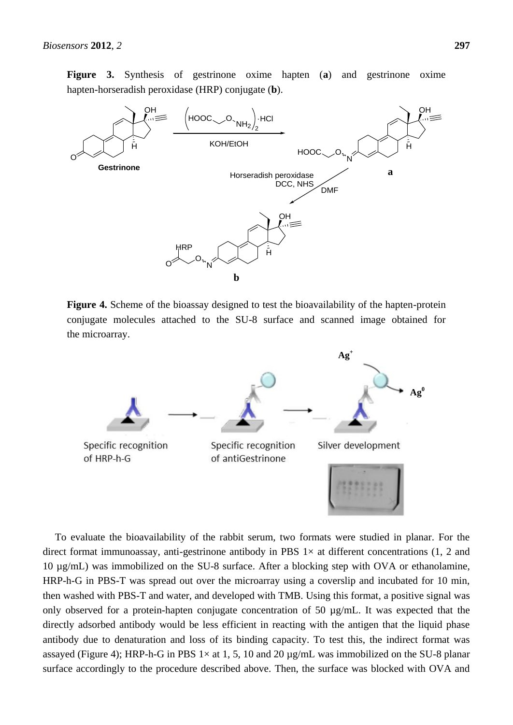**Figure 3.** Synthesis of gestrinone oxime hapten (**a**) and gestrinone oxime hapten-horseradish peroxidase (HRP) conjugate (**b**).



**Figure 4.** Scheme of the bioassay designed to test the bioavailability of the hapten-protein conjugate molecules attached to the SU-8 surface and scanned image obtained for the microarray.



To evaluate the bioavailability of the rabbit serum, two formats were studied in planar. For the direct format immunoassay, anti-gestrinone antibody in PBS  $1 \times$  at different concentrations (1, 2 and 10 µg/mL) was immobilized on the SU-8 surface. After a blocking step with OVA or ethanolamine, HRP-h-G in PBS-T was spread out over the microarray using a coverslip and incubated for 10 min, then washed with PBS-T and water, and developed with TMB. Using this format, a positive signal was only observed for a protein-hapten conjugate concentration of 50 µg/mL. It was expected that the directly adsorbed antibody would be less efficient in reacting with the antigen that the liquid phase antibody due to denaturation and loss of its binding capacity. To test this, the indirect format was assayed (Figure 4); HRP-h-G in PBS  $1 \times at 1, 5, 10$  and 20  $\mu$ g/mL was immobilized on the SU-8 planar surface accordingly to the procedure described above. Then, the surface was blocked with OVA and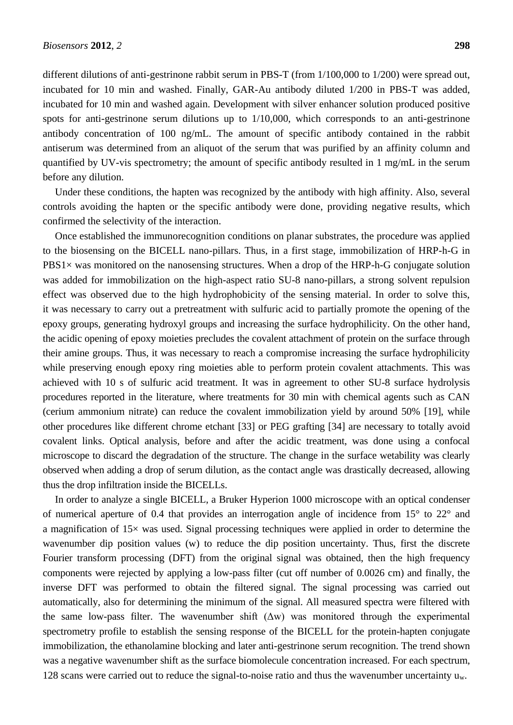different dilutions of anti-gestrinone rabbit serum in PBS-T (from 1/100,000 to 1/200) were spread out, incubated for 10 min and washed. Finally, GAR-Au antibody diluted 1/200 in PBS-T was added, incubated for 10 min and washed again. Development with silver enhancer solution produced positive spots for anti-gestrinone serum dilutions up to 1/10,000, which corresponds to an anti-gestrinone antibody concentration of 100 ng/mL. The amount of specific antibody contained in the rabbit antiserum was determined from an aliquot of the serum that was purified by an affinity column and quantified by UV-vis spectrometry; the amount of specific antibody resulted in 1 mg/mL in the serum before any dilution.

Under these conditions, the hapten was recognized by the antibody with high affinity. Also, several controls avoiding the hapten or the specific antibody were done, providing negative results, which confirmed the selectivity of the interaction.

Once established the immunorecognition conditions on planar substrates, the procedure was applied to the biosensing on the BICELL nano-pillars. Thus, in a first stage, immobilization of HRP-h-G in  $\text{PBS1} \times$  was monitored on the nanosensing structures. When a drop of the HRP-h-G conjugate solution was added for immobilization on the high-aspect ratio SU-8 nano-pillars, a strong solvent repulsion effect was observed due to the high hydrophobicity of the sensing material. In order to solve this, it was necessary to carry out a pretreatment with sulfuric acid to partially promote the opening of the epoxy groups, generating hydroxyl groups and increasing the surface hydrophilicity. On the other hand, the acidic opening of epoxy moieties precludes the covalent attachment of protein on the surface through their amine groups. Thus, it was necessary to reach a compromise increasing the surface hydrophilicity while preserving enough epoxy ring moieties able to perform protein covalent attachments. This was achieved with 10 s of sulfuric acid treatment. It was in agreement to other SU-8 surface hydrolysis procedures reported in the literature, where treatments for 30 min with chemical agents such as CAN (cerium ammonium nitrate) can reduce the covalent immobilization yield by around 50% [19], while other procedures like different chrome etchant [33] or PEG grafting [34] are necessary to totally avoid covalent links. Optical analysis, before and after the acidic treatment, was done using a confocal microscope to discard the degradation of the structure. The change in the surface wetability was clearly observed when adding a drop of serum dilution, as the contact angle was drastically decreased, allowing thus the drop infiltration inside the BICELLs.

In order to analyze a single BICELL, a Bruker Hyperion 1000 microscope with an optical condenser of numerical aperture of 0.4 that provides an interrogation angle of incidence from  $15^{\circ}$  to  $22^{\circ}$  and a magnification of  $15\times$  was used. Signal processing techniques were applied in order to determine the wavenumber dip position values (w) to reduce the dip position uncertainty. Thus, first the discrete Fourier transform processing (DFT) from the original signal was obtained, then the high frequency components were rejected by applying a low-pass filter (cut off number of 0.0026 cm) and finally, the inverse DFT was performed to obtain the filtered signal. The signal processing was carried out automatically, also for determining the minimum of the signal. All measured spectra were filtered with the same low-pass filter. The wavenumber shift  $(\Delta w)$  was monitored through the experimental spectrometry profile to establish the sensing response of the BICELL for the protein-hapten conjugate immobilization, the ethanolamine blocking and later anti-gestrinone serum recognition. The trend shown was a negative wavenumber shift as the surface biomolecule concentration increased. For each spectrum, 128 scans were carried out to reduce the signal-to-noise ratio and thus the wavenumber uncertainty  $u_w$ .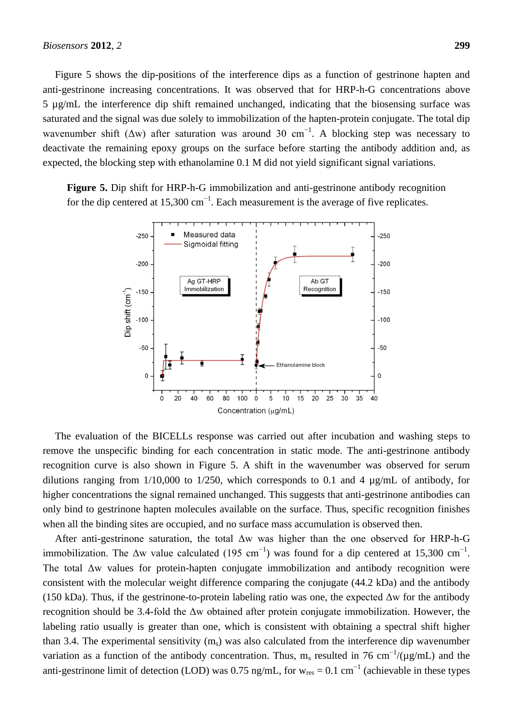Figure 5 shows the dip-positions of the interference dips as a function of gestrinone hapten and anti-gestrinone increasing concentrations. It was observed that for HRP-h-G concentrations above 5 µg/mL the interference dip shift remained unchanged, indicating that the biosensing surface was saturated and the signal was due solely to immobilization of the hapten-protein conjugate. The total dip wavenumber shift ( $\Delta w$ ) after saturation was around 30 cm<sup>-1</sup>. A blocking step was necessary to deactivate the remaining epoxy groups on the surface before starting the antibody addition and, as expected, the blocking step with ethanolamine 0.1 M did not yield significant signal variations.

**Figure 5.** Dip shift for HRP-h-G immobilization and anti-gestrinone antibody recognition for the dip centered at 15,300 cm<sup>-1</sup>. Each measurement is the average of five replicates.



The evaluation of the BICELLs response was carried out after incubation and washing steps to remove the unspecific binding for each concentration in static mode. The anti-gestrinone antibody recognition curve is also shown in Figure 5. A shift in the wavenumber was observed for serum dilutions ranging from  $1/10,000$  to  $1/250$ , which corresponds to 0.1 and 4  $\mu$ g/mL of antibody, for higher concentrations the signal remained unchanged. This suggests that anti-gestrinone antibodies can only bind to gestrinone hapten molecules available on the surface. Thus, specific recognition finishes when all the binding sites are occupied, and no surface mass accumulation is observed then.

After anti-gestrinone saturation, the total Δw was higher than the one observed for HRP-h-G immobilization. The  $\Delta w$  value calculated (195 cm<sup>-1</sup>) was found for a dip centered at 15,300 cm<sup>-1</sup>. The total Δw values for protein-hapten conjugate immobilization and antibody recognition were consistent with the molecular weight difference comparing the conjugate (44.2 kDa) and the antibody (150 kDa). Thus, if the gestrinone-to-protein labeling ratio was one, the expected Δw for the antibody recognition should be 3.4-fold the Δw obtained after protein conjugate immobilization. However, the labeling ratio usually is greater than one, which is consistent with obtaining a spectral shift higher than 3.4. The experimental sensitivity  $(m<sub>s</sub>)$  was also calculated from the interference dip wavenumber variation as a function of the antibody concentration. Thus, m<sub>s</sub> resulted in 76 cm<sup>-1</sup>/( $\mu$ g/mL) and the anti-gestrinone limit of detection (LOD) was 0.75 ng/mL, for  $w_{res} = 0.1$  cm<sup>-1</sup> (achievable in these types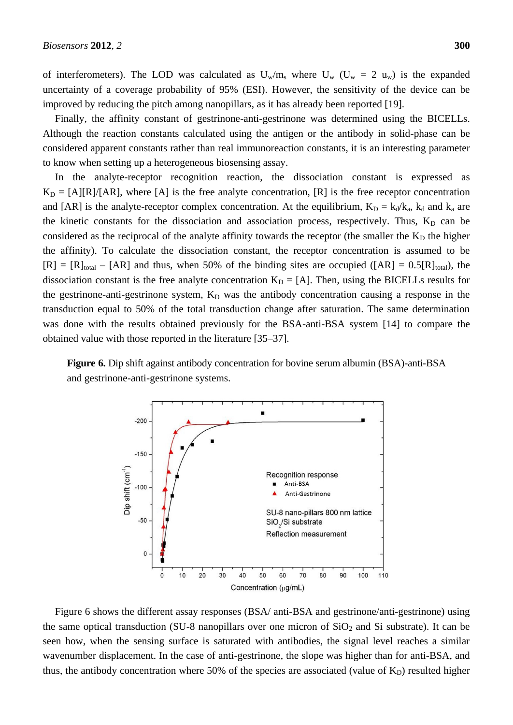of interferometers). The LOD was calculated as  $U_w/m_s$  where  $U_w$  ( $U_w = 2$   $u_w$ ) is the expanded uncertainty of a coverage probability of 95% (ESI). However, the sensitivity of the device can be improved by reducing the pitch among nanopillars, as it has already been reported [19].

Finally, the affinity constant of gestrinone-anti-gestrinone was determined using the BICELLs. Although the reaction constants calculated using the antigen or the antibody in solid-phase can be considered apparent constants rather than real immunoreaction constants, it is an interesting parameter to know when setting up a heterogeneous biosensing assay.

In the analyte-receptor recognition reaction, the dissociation constant is expressed as  $K_D = [A][R]/[AR]$ , where [A] is the free analyte concentration, [R] is the free receptor concentration and [AR] is the analyte-receptor complex concentration. At the equilibrium,  $K_D = k_d/k_a$ ,  $k_d$  and  $k_a$  are the kinetic constants for the dissociation and association process, respectively. Thus,  $K_D$  can be considered as the reciprocal of the analyte affinity towards the receptor (the smaller the  $K<sub>D</sub>$  the higher the affinity). To calculate the dissociation constant, the receptor concentration is assumed to be  $[R] = [R]_{total} - [AR]$  and thus, when 50% of the binding sites are occupied ([AR] = 0.5[R]<sub>total</sub>), the dissociation constant is the free analyte concentration  $K_D = [A]$ . Then, using the BICELLs results for the gestrinone-anti-gestrinone system,  $K_D$  was the antibody concentration causing a response in the transduction equal to 50% of the total transduction change after saturation. The same determination was done with the results obtained previously for the BSA-anti-BSA system [14] to compare the obtained value with those reported in the literature [35–37].

**Figure 6.** Dip shift against antibody concentration for bovine serum albumin (BSA)-anti-BSA and gestrinone-anti-gestrinone systems.



Figure 6 shows the different assay responses (BSA/ anti-BSA and gestrinone/anti-gestrinone) using the same optical transduction (SU-8 nanopillars over one micron of  $SiO<sub>2</sub>$  and Si substrate). It can be seen how, when the sensing surface is saturated with antibodies, the signal level reaches a similar wavenumber displacement. In the case of anti-gestrinone, the slope was higher than for anti-BSA, and thus, the antibody concentration where 50% of the species are associated (value of  $K_D$ ) resulted higher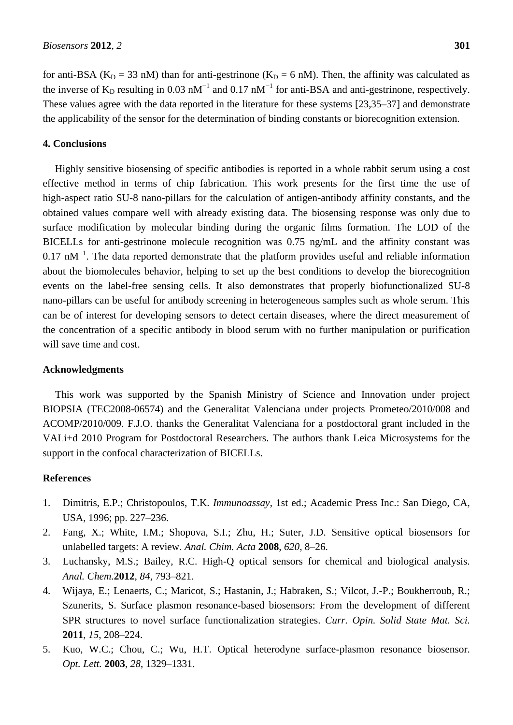for anti-BSA ( $K_D = 33$  nM) than for anti-gestrinone ( $K_D = 6$  nM). Then, the affinity was calculated as the inverse of  $K_D$  resulting in 0.03 nM<sup>-1</sup> and 0.17 nM<sup>-1</sup> for anti-BSA and anti-gestrinone, respectively. These values agree with the data reported in the literature for these systems [23,35–37] and demonstrate the applicability of the sensor for the determination of binding constants or biorecognition extension.

### **4. Conclusions**

Highly sensitive biosensing of specific antibodies is reported in a whole rabbit serum using a cost effective method in terms of chip fabrication. This work presents for the first time the use of high-aspect ratio SU-8 nano-pillars for the calculation of antigen-antibody affinity constants, and the obtained values compare well with already existing data. The biosensing response was only due to surface modification by molecular binding during the organic films formation. The LOD of the BICELLs for anti-gestrinone molecule recognition was 0.75 ng/mL and the affinity constant was 0.17 nM<sup> $-1$ </sup>. The data reported demonstrate that the platform provides useful and reliable information about the biomolecules behavior, helping to set up the best conditions to develop the biorecognition events on the label-free sensing cells. It also demonstrates that properly biofunctionalized SU-8 nano-pillars can be useful for antibody screening in heterogeneous samples such as whole serum. This can be of interest for developing sensors to detect certain diseases, where the direct measurement of the concentration of a specific antibody in blood serum with no further manipulation or purification will save time and cost.

#### **Acknowledgments**

This work was supported by the Spanish Ministry of Science and Innovation under project BIOPSIA (TEC2008-06574) and the Generalitat Valenciana under projects Prometeo/2010/008 and ACOMP/2010/009. F.J.O. thanks the Generalitat Valenciana for a postdoctoral grant included in the VALi+d 2010 Program for Postdoctoral Researchers. The authors thank Leica Microsystems for the support in the confocal characterization of BICELLs.

#### **References**

- 1. Dimitris, E.P.; Christopoulos, T.K. *Immunoassay*, 1st ed.; Academic Press Inc.: San Diego, CA, USA, 1996; pp. 227–236.
- 2. Fang, X.; White, I.M.; Shopova, S.I.; Zhu, H.; Suter, J.D. Sensitive optical biosensors for unlabelled targets: A review. *Anal. Chim. Acta* **2008**, *620*, 8–26.
- 3. Luchansky, M.S.; Bailey, R.C. High-Q optical sensors for chemical and biological analysis. *Anal. Chem.***2012**, *84*, 793–821.
- 4. Wijaya, E.; Lenaerts, C.; Maricot, S.; Hastanin, J.; Habraken, S.; Vilcot, J.-P.; Boukherroub, R.; Szunerits, S. Surface plasmon resonance-based biosensors: From the development of different SPR structures to novel surface functionalization strategies. *Curr. Opin. Solid State Mat. Sci.* **2011**, *15*, 208–224.
- 5. Kuo, W.C.; Chou, C.; Wu, H.T. Optical heterodyne surface-plasmon resonance biosensor. *Opt. Lett.* **2003**, *28*, 1329–1331.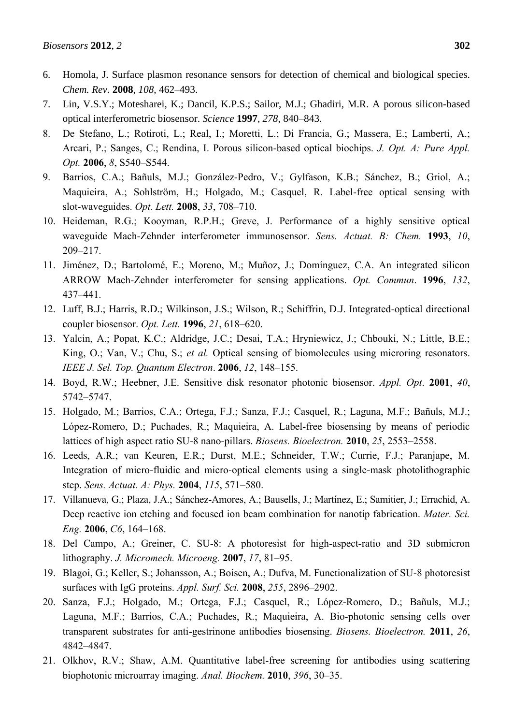- 6. Homola, J. Surface plasmon resonance sensors for detection of chemical and biological species. *Chem. Rev.* **2008**, *108*, 462–493.
- 7. Lin, V.S.Y.; Motesharei, K.; Dancil, K.P.S.; Sailor, M.J.; Ghadiri, M.R. A porous silicon-based optical interferometric biosensor. *Science* **1997**, *278*, 840–843.
- 8. De Stefano, L.; Rotiroti, L.; Real, I.; Moretti, L.; Di Francia, G.; Massera, E.; Lamberti, A.; Arcari, P.; Sanges, C.; Rendina, I. Porous silicon-based optical biochips. *J. Opt. A: Pure Appl. Opt.* **2006**, *8*, S540–S544.
- 9. Barrios, C.A.; Bañuls, M.J.; González-Pedro, V.; Gylfason, K.B.; Sánchez, B.; Griol, A.; Maquieira, A.; Sohlström, H.; Holgado, M.; Casquel, R. Label-free optical sensing with slot-waveguides. *Opt. Lett.* **2008**, *33*, 708–710.
- 10. Heideman, R.G.; Kooyman, R.P.H.; Greve, J. Performance of a highly sensitive optical waveguide Mach-Zehnder interferometer immunosensor. *Sens. Actuat. B: Chem.* **1993**, *10*, 209–217.
- 11. Jiménez, D.; Bartolomé, E.; Moreno, M.; Muñoz, J.; Domínguez, C.A. An integrated silicon ARROW Mach-Zehnder interferometer for sensing applications. *Opt. Commun*. **1996**, *132*, 437–441.
- 12. Luff, B.J.; Harris, R.D.; Wilkinson, J.S.; Wilson, R.; Schiffrin, D.J. Integrated-optical directional coupler biosensor. *Opt. Lett.* **1996**, *21*, 618–620.
- 13. Yalcin, A.; Popat, K.C.; Aldridge, J.C.; Desai, T.A.; Hryniewicz, J.; Chbouki, N.; Little, B.E.; King, O.; Van, V.; Chu, S.; *et al.* Optical sensing of biomolecules using microring resonators. *IEEE J. Sel. Top. Quantum Electron*. **2006**, *12*, 148–155.
- 14. Boyd, R.W.; Heebner, J.E. Sensitive disk resonator photonic biosensor. *Appl. Opt*. **2001**, *40*, 5742–5747.
- 15. Holgado, M.; Barrios, C.A.; Ortega, F.J.; Sanza, F.J.; Casquel, R.; Laguna, M.F.; Bañuls, M.J.; López-Romero, D.; Puchades, R.; Maquieira, A. Label-free biosensing by means of periodic lattices of high aspect ratio SU-8 nano-pillars. *Biosens. Bioelectron.* **2010**, *25*, 2553–2558.
- 16. Leeds, A.R.; van Keuren, E.R.; Durst, M.E.; Schneider, T.W.; Currie, F.J.; Paranjape, M. Integration of micro-fluidic and micro-optical elements using a single-mask photolithographic step. *Sens. Actuat. A: [Phys.](http://www.sciencedirect.com/science/journal/09244247)* **2004**, *115*, 571–580.
- 17. Villanueva, G.; Plaza, J.A.; Sánchez-Amores, A.; Bausells, J.; Martínez, E.; Samitier, J.; Errachid, A. Deep reactive ion etching and focused ion beam combination for nanotip fabrication. *Mater. Sci. Eng.* **2006**, *C6*, 164–168.
- 18. Del Campo, A.; Greiner, C. SU-8: A photoresist for high-aspect-ratio and 3D submicron lithography. *J. Micromech. Microeng.* **2007**, *17*, 81–95.
- 19. Blagoi, G.; Keller, S.; Johansson, A.; Boisen, A.; Dufva, M. Functionalization of SU-8 photoresist surfaces with IgG proteins. *Appl. Surf. Sci.* **2008**, *255*, 2896–2902.
- 20. Sanza, F.J.; Holgado, M.; Ortega, F.J.; Casquel, R.; López-Romero, D.; Bañuls, M.J.; Laguna, M.F.; Barrios, C.A.; Puchades, R.; Maquieira, A. Bio-photonic sensing cells over transparent substrates for anti-gestrinone antibodies biosensing. *Biosens. Bioelectron.* **2011**, *26*, 4842–4847.
- 21. Olkhov, R.V.; Shaw, A.M. Quantitative label-free screening for antibodies using scattering biophotonic microarray imaging. *Anal. [Biochem.](http://www.ncbi.nlm.nih.gov/pubmed/19679096)* **2010**, *396*, 30–35.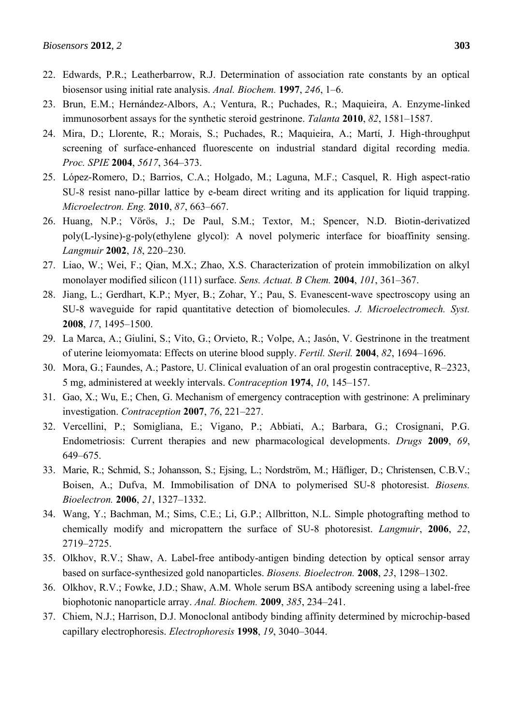- 22. Edwards, P.R.; Leatherbarrow, R.J. Determination of association rate constants by an optical biosensor using initial rate analysis. *Anal. Biochem.* **1997**, *246*, 1–6.
- 23. Brun, E.M.; Hernández-Albors, A.; Ventura, R.; Puchades, R.; Maquieira, A. Enzyme-linked immunosorbent assays for the synthetic steroid gestrinone. *Talanta* **2010**, *82*, 1581–1587.
- 24. Mira, D.; Llorente, R.; Morais, S.; Puchades, R.; Maquieira, A.; Martí, J. High-throughput screening of surface-enhanced fluorescente on industrial standard digital recording media. *Proc. SPIE* **2004**, *5617*, 364–373.
- 25. López-Romero, D.; Barrios, C.A.; Holgado, M.; Laguna, M.F.; Casquel, R. High aspect-ratio SU-8 resist nano-pillar lattice by e-beam direct writing and its application for liquid trapping. *Microelectron. Eng.* **2010**, *87*, 663–667.
- 26. Huang, N.P.; Vörös, J.; De Paul, S.M.; Textor, M.; Spencer, N.D. Biotin-derivatized poly(L-lysine)-g-poly(ethylene glycol): A novel polymeric interface for bioaffinity sensing. *Langmuir* **2002**, *18*, 220–230.
- 27. Liao, W.; Wei, F.; Qian, M.X.; Zhao, X.S. Characterization of protein immobilization on alkyl monolayer modified silicon (111) surface. *Sens. Actuat. B Chem.* **2004**, *101*, 361–367.
- 28. Jiang, L.; Gerdhart, K.P.; Myer, B.; Zohar, Y.; Pau, S. Evanescent-wave spectroscopy using an SU-8 waveguide for rapid quantitative detection of biomolecules. *J. Microelectromech. Syst.* **2008**, *17*, 1495–1500.
- 29. La Marca, A.; Giulini, S.; Vito, G.; Orvieto, R.; Volpe, A.; Jasón, V. Gestrinone in the treatment of uterine leiomyomata: Effects on uterine blood supply. *Fertil. Steril.* **2004**, *82*, 1694–1696.
- 30. Mora, G.; Faundes, A.; Pastore, U. Clinical evaluation of an oral progestin contraceptive, R–2323, 5 mg, administered at weekly intervals. *Contraception* **1974**, *10*, 145–157.
- 31. Gao, X.; Wu, E.; Chen, G. Mechanism of emergency contraception with gestrinone: A preliminary investigation. *Contraception* **2007**, *76*, 221–227.
- 32. Vercellini, P.; Somigliana, E.; Vigano, P.; Abbiati, A.; Barbara, G.; Crosignani, P.G. Endometriosis: Current therapies and new pharmacological developments. *Drugs* **2009**, *69*, 649–675.
- 33. Marie, R.; Schmid, S.; Johansson, S.; Ejsing, L.; Nordström, M.; Häfliger, D.; Christensen, C.B.V.; Boisen, A.; Dufva, M. Immobilisation of DNA to polymerised SU-8 photoresist. *Biosens. Bioelectron.* **2006**, *21*, 1327–1332.
- 34. Wang, Y.; Bachman, M.; Sims, C.E.; Li, G.P.; Allbritton, N.L. Simple photografting method to chemically modify and micropattern the surface of SU-8 photoresist. *Langmuir*, **2006**, *22*, 2719–2725.
- 35. Olkhov, R.V.; Shaw, A. Label-free antibody-antigen binding detection by optical sensor array based on surface-synthesized gold nanoparticles. *Biosens. Bioelectron.* **2008**, *23*, 1298–1302.
- 36. Olkhov, R.V.; Fowke, J.D.; Shaw, A.M. Whole serum BSA antibody screening using a label-free biophotonic nanoparticle array. *Anal. Biochem.* **2009**, *385*, 234–241.
- 37. Chiem, N.J.; Harrison, D.J. Monoclonal antibody binding affinity determined by microchip-based capillary electrophoresis. *Electrophoresis* **1998**, *19*, 3040–3044.